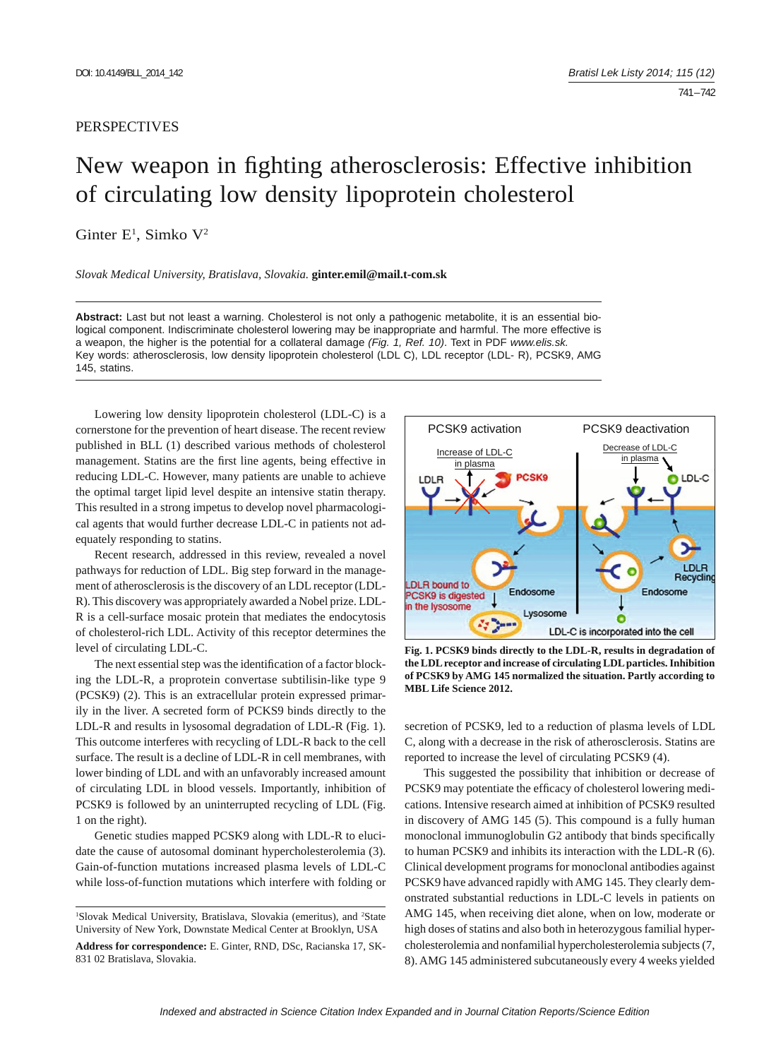## PERSPECTIVES

## New weapon in fighting atherosclerosis: Effective inhibition of circulating low density lipoprotein cholesterol

Ginter E<sup>1</sup>, Simko V<sup>2</sup>

*Slovak Medical University, Bratislava, Slovakia.* **ginter.emil@mail.t-com.sk**

**Abstract:** Last but not least a warning. Cholesterol is not only a pathogenic metabolite, it is an essential biological component. Indiscriminate cholesterol lowering may be inappropriate and harmful. The more effective is a weapon, the higher is the potential for a collateral damage *(Fig. 1, Ref. 10)*. Text in PDF *www.elis.sk.* Key words: atherosclerosis, low density lipoprotein cholesterol (LDL C), LDL receptor (LDL- R), PCSK9, AMG 145, statins.

Lowering low density lipoprotein cholesterol (LDL-C) is a cornerstone for the prevention of heart disease. The recent review published in BLL (1) described various methods of cholesterol management. Statins are the first line agents, being effective in reducing LDL-C. However, many patients are unable to achieve the optimal target lipid level despite an intensive statin therapy. This resulted in a strong impetus to develop novel pharmacological agents that would further decrease LDL-C in patients not adequately responding to statins.

Recent research, addressed in this review, revealed a novel pathways for reduction of LDL. Big step forward in the management of atherosclerosis is the discovery of an LDL receptor (LDL-R). This discovery was appropriately awarded a Nobel prize. LDL-R is a cell-surface mosaic protein that mediates the endocytosis of cholesterol-rich LDL. Activity of this receptor determines the level of circulating LDL-C.

The next essential step was the identification of a factor blocking the LDL-R, a proprotein convertase subtilisin-like type 9 (PCSK9) (2). This is an extracellular protein expressed primarily in the liver. A secreted form of PCKS9 binds directly to the LDL-R and results in lysosomal degradation of LDL-R (Fig. 1). This outcome interferes with recycling of LDL-R back to the cell surface. The result is a decline of LDL-R in cell membranes, with lower binding of LDL and with an unfavorably increased amount of circulating LDL in blood vessels. Importantly, inhibition of PCSK9 is followed by an uninterrupted recycling of LDL (Fig. 1 on the right).

Genetic studies mapped PCSK9 along with LDL-R to elucidate the cause of autosomal dominant hypercholesterolemia (3). Gain-of-function mutations increased plasma levels of LDL-C while loss-of-function mutations which interfere with folding or



**Fig. 1. PCSK9 binds directly to the LDL-R, results in degradation of the LDL receptor and increase of circulating LDL particles. Inhibition of PCSK9 by AMG 145 normalized the situation. Partly according to MBL Life Science 2012.**

secretion of PCSK9, led to a reduction of plasma levels of LDL C, along with a decrease in the risk of atherosclerosis. Statins are reported to increase the level of circulating PCSK9 (4).

This suggested the possibility that inhibition or decrease of PCSK9 may potentiate the efficacy of cholesterol lowering medications. Intensive research aimed at inhibition of PCSK9 resulted in discovery of AMG 145 (5). This compound is a fully human monoclonal immunoglobulin G2 antibody that binds specifically to human PCSK9 and inhibits its interaction with the LDL-R (6). Clinical development programs for monoclonal antibodies against PCSK9 have advanced rapidly with AMG 145. They clearly demonstrated substantial reductions in LDL-C levels in patients on AMG 145, when receiving diet alone, when on low, moderate or high doses of statins and also both in heterozygous familial hypercholesterolemia and nonfamilial hypercholesterolemia subjects (7, 8). AMG 145 administered subcutaneously every 4 weeks yielded

<sup>&</sup>lt;sup>1</sup>Slovak Medical University, Bratislava, Slovakia (emeritus), and <sup>2</sup>State University of New York, Downstate Medical Center at Brooklyn, USA

**Address for correspondence:** E. Ginter, RND, DSc, Racianska 17, SK-831 02 Bratislava, Slovakia.